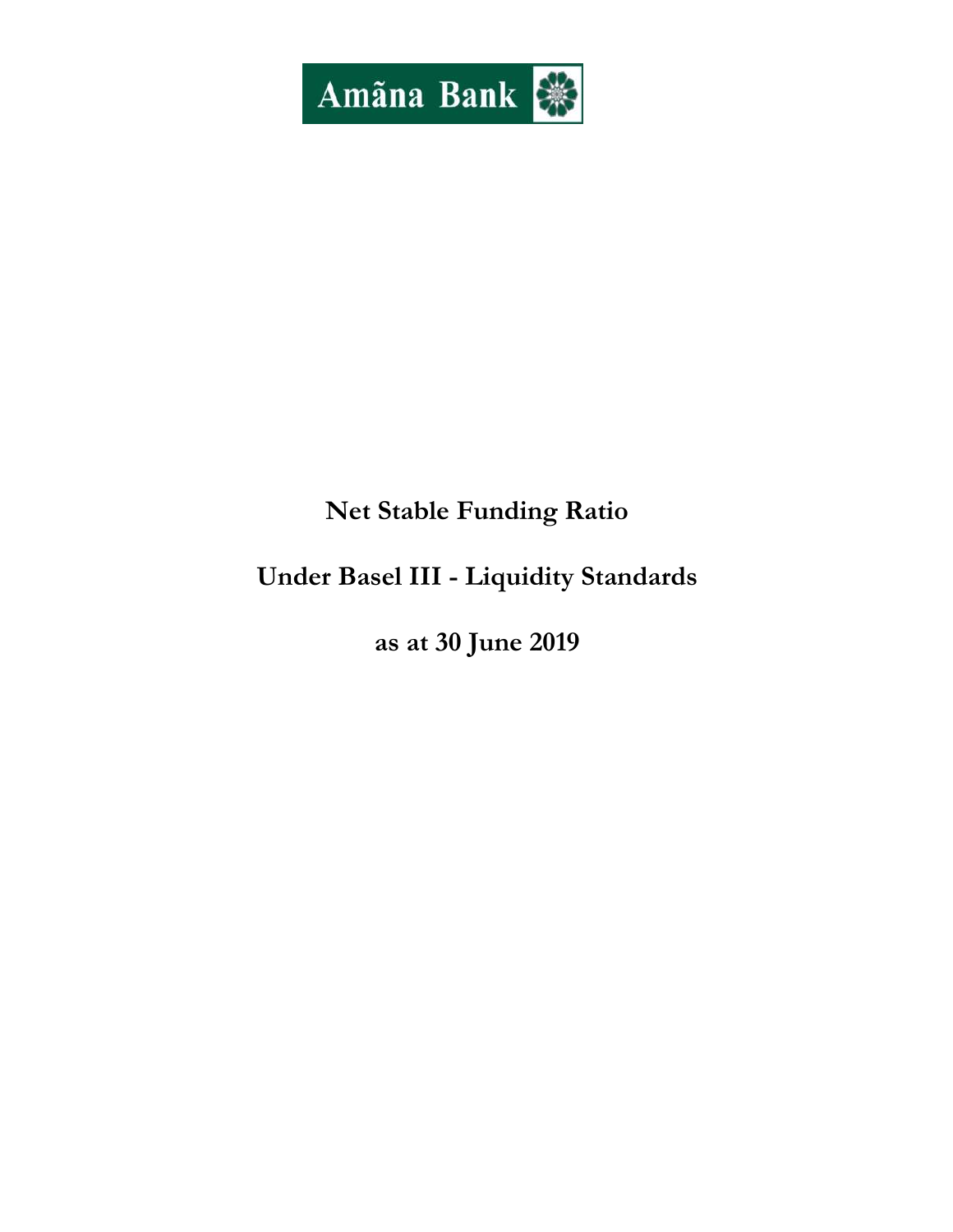

# Net Stable Funding Ratio

# Under Basel III - Liquidity Standards

as at 30 June 2019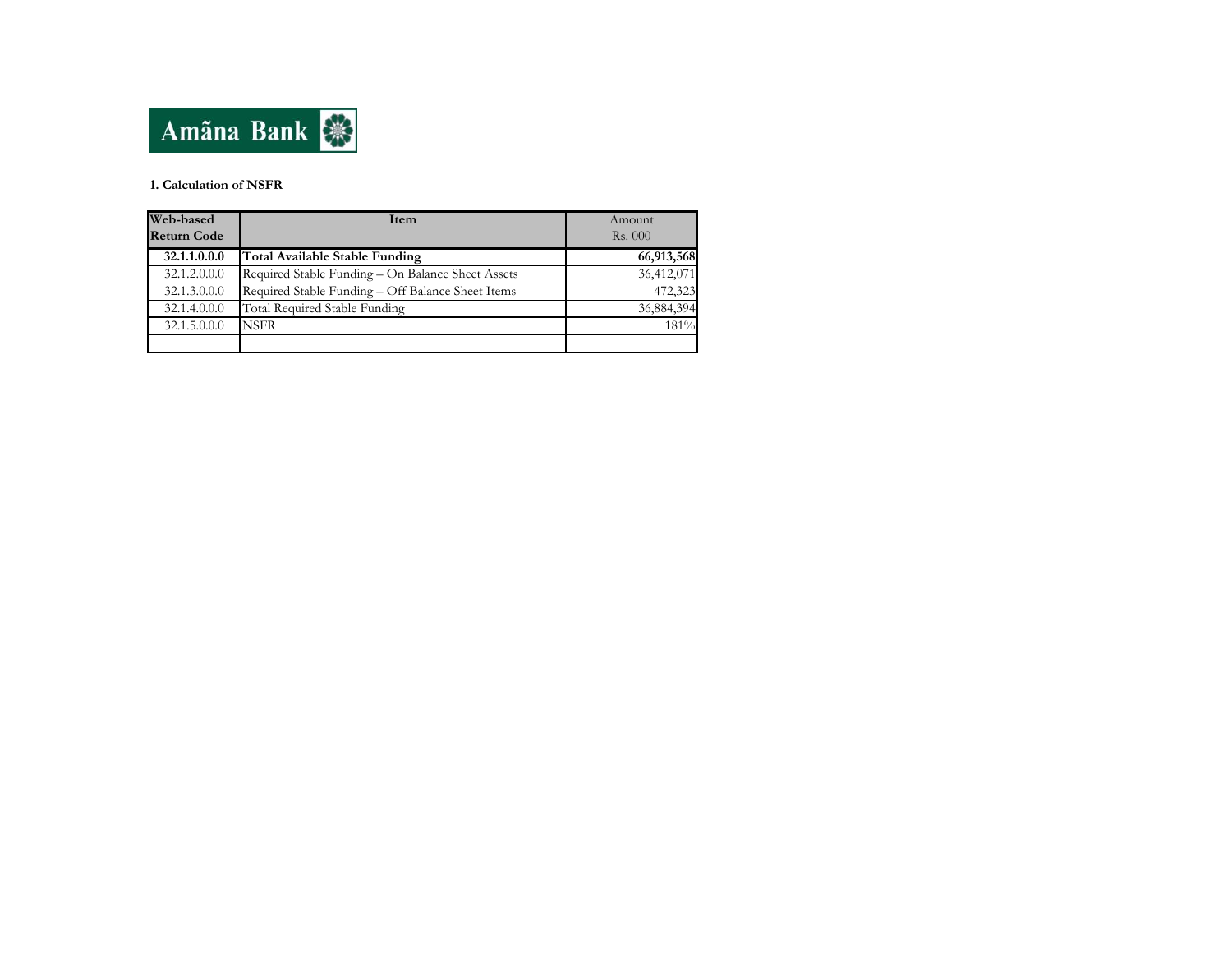

#### 1. Calculation of NSFR

| Web-based          | Item                                              | Amount     |  |
|--------------------|---------------------------------------------------|------------|--|
| <b>Return Code</b> |                                                   | Rs.000     |  |
| 32.1.1.0.0.0       | Total Available Stable Funding                    | 66,913,568 |  |
| 32.1.2.0.0.0       | Required Stable Funding - On Balance Sheet Assets | 36,412,071 |  |
| 32.1.3.0.0.0       | Required Stable Funding - Off Balance Sheet Items | 472,323    |  |
| 32.1.4.0.0.0       | <b>Total Required Stable Funding</b>              | 36,884,394 |  |
| 32.1.5.0.0.0       | NSFR                                              | 181%       |  |
|                    |                                                   |            |  |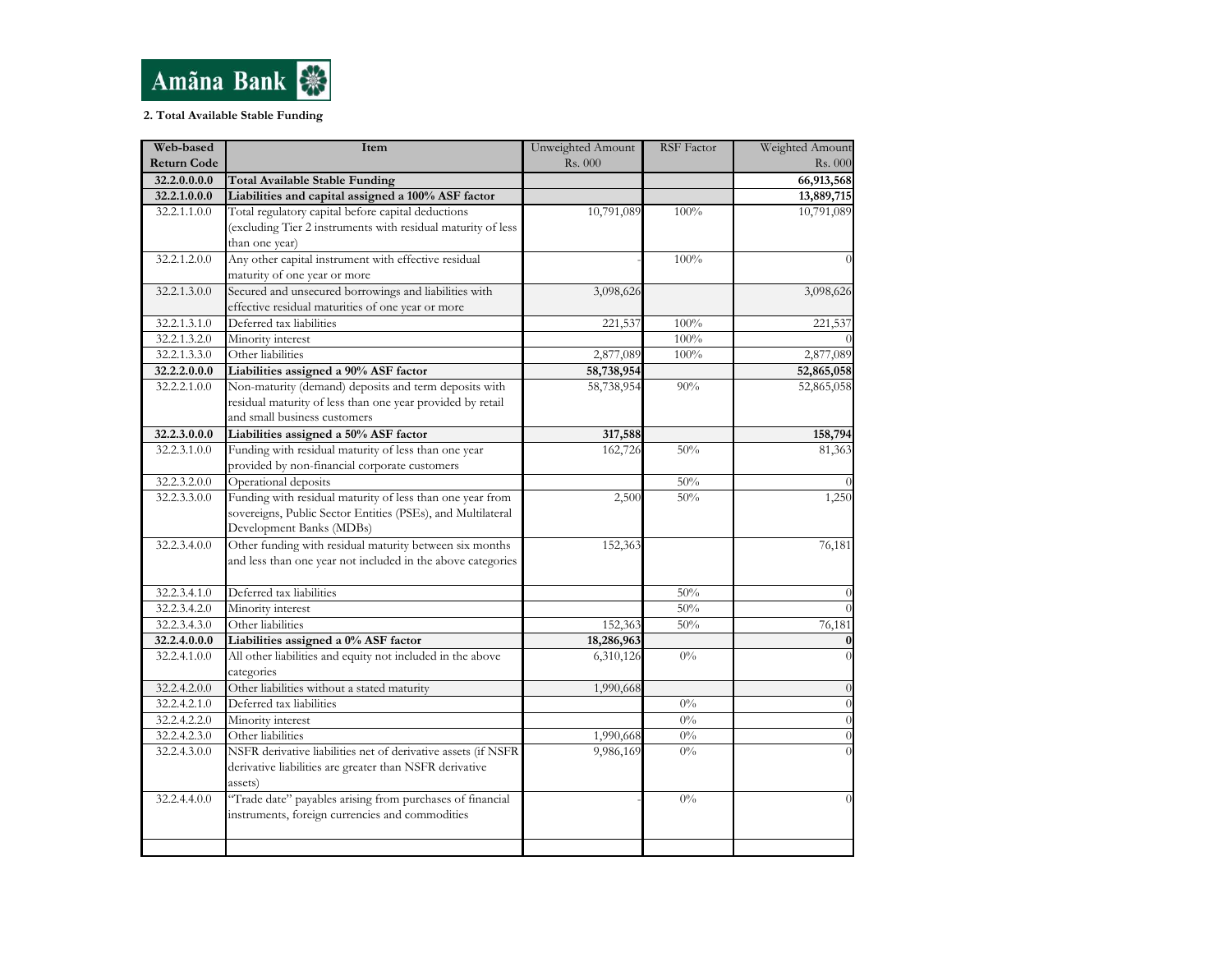

### 2. Total Available Stable Funding

| Web-based          | Item                                                          | Unweighted Amount | <b>RSF</b> Factor | Weighted Amount |
|--------------------|---------------------------------------------------------------|-------------------|-------------------|-----------------|
| <b>Return Code</b> |                                                               | Rs. 000           |                   | Rs. 000         |
| 32.2.0.0.0.0       | <b>Total Available Stable Funding</b>                         |                   |                   | 66,913,568      |
| 32.2.1.0.0.0       | Liabilities and capital assigned a 100% ASF factor            |                   |                   | 13,889,715      |
| 32.2.1.1.0.0       | Total regulatory capital before capital deductions            | 10,791,089        | 100%              | 10,791,089      |
|                    | (excluding Tier 2 instruments with residual maturity of less  |                   |                   |                 |
|                    | than one year)                                                |                   |                   |                 |
| 32.2.1.2.0.0       | Any other capital instrument with effective residual          |                   | 100%              |                 |
|                    | maturity of one year or more                                  |                   |                   |                 |
| 32.2.1.3.0.0       | Secured and unsecured borrowings and liabilities with         | 3,098,626         |                   | 3,098,626       |
|                    | effective residual maturities of one year or more             |                   |                   |                 |
| 32.2.1.3.1.0       | Deferred tax liabilities                                      | 221,537           | 100%              | 221,537         |
| 32.2.1.3.2.0       | Minority interest                                             |                   | 100%              |                 |
| 32.2.1.3.3.0       | Other liabilities                                             | 2,877,089         | 100%              | 2,877,089       |
| 32.2.2.0.0.0       | Liabilities assigned a 90% ASF factor                         | 58,738,954        |                   | 52,865,058      |
| 32.2.2.1.0.0       | Non-maturity (demand) deposits and term deposits with         | 58,738,954        | 90%               | 52,865,058      |
|                    | residual maturity of less than one year provided by retail    |                   |                   |                 |
|                    | and small business customers                                  |                   |                   |                 |
| 32.2.3.0.0.0       | Liabilities assigned a 50% ASF factor                         | 317,588           |                   | 158,794         |
| 32.2.3.1.0.0       | Funding with residual maturity of less than one year          | 162,726           | 50%               | 81,363          |
|                    | provided by non-financial corporate customers                 |                   |                   |                 |
| 32.2.3.2.0.0       | Operational deposits                                          |                   | 50%               |                 |
| 32.2.3.3.0.0       | Funding with residual maturity of less than one year from     | 2,500             | 50%               | 1,250           |
|                    | sovereigns, Public Sector Entities (PSEs), and Multilateral   |                   |                   |                 |
|                    | Development Banks (MDBs)                                      |                   |                   |                 |
| 32.2.3.4.0.0       | Other funding with residual maturity between six months       | 152,363           |                   | 76,181          |
|                    | and less than one year not included in the above categories   |                   |                   |                 |
|                    |                                                               |                   |                   |                 |
| 32.2.3.4.1.0       | Deferred tax liabilities                                      |                   | 50%               |                 |
| 32.2.3.4.2.0       | Minority interest                                             |                   | 50%               |                 |
| 32.2.3.4.3.0       | Other liabilities                                             | 152,363           | 50%               | 76,181          |
| 32.2.4.0.0.0       | Liabilities assigned a 0% ASF factor                          | 18,286,963        |                   | $\Omega$        |
| 32.2.4.1.0.0       | All other liabilities and equity not included in the above    | 6,310,126         | $0\%$             |                 |
|                    | categories                                                    |                   |                   |                 |
| 32.2.4.2.0.0       | Other liabilities without a stated maturity                   | 1,990,668         |                   | $\Omega$        |
| 32.2.4.2.1.0       | Deferred tax liabilities                                      |                   | $0\%$             |                 |
| 32.2.4.2.2.0       | Minority interest                                             |                   | $0\%$             |                 |
| 32.2.4.2.3.0       | Other liabilities                                             | 1,990,668         | $0\%$             |                 |
| 32.2.4.3.0.0       | NSFR derivative liabilities net of derivative assets (if NSFR | 9,986,169         | $0\%$             |                 |
|                    | derivative liabilities are greater than NSFR derivative       |                   |                   |                 |
|                    | assets)                                                       |                   |                   |                 |
| 32.2.4.4.0.0       | "Trade date" payables arising from purchases of financial     |                   | $0\%$             |                 |
|                    | instruments, foreign currencies and commodities               |                   |                   |                 |
|                    |                                                               |                   |                   |                 |
|                    |                                                               |                   |                   |                 |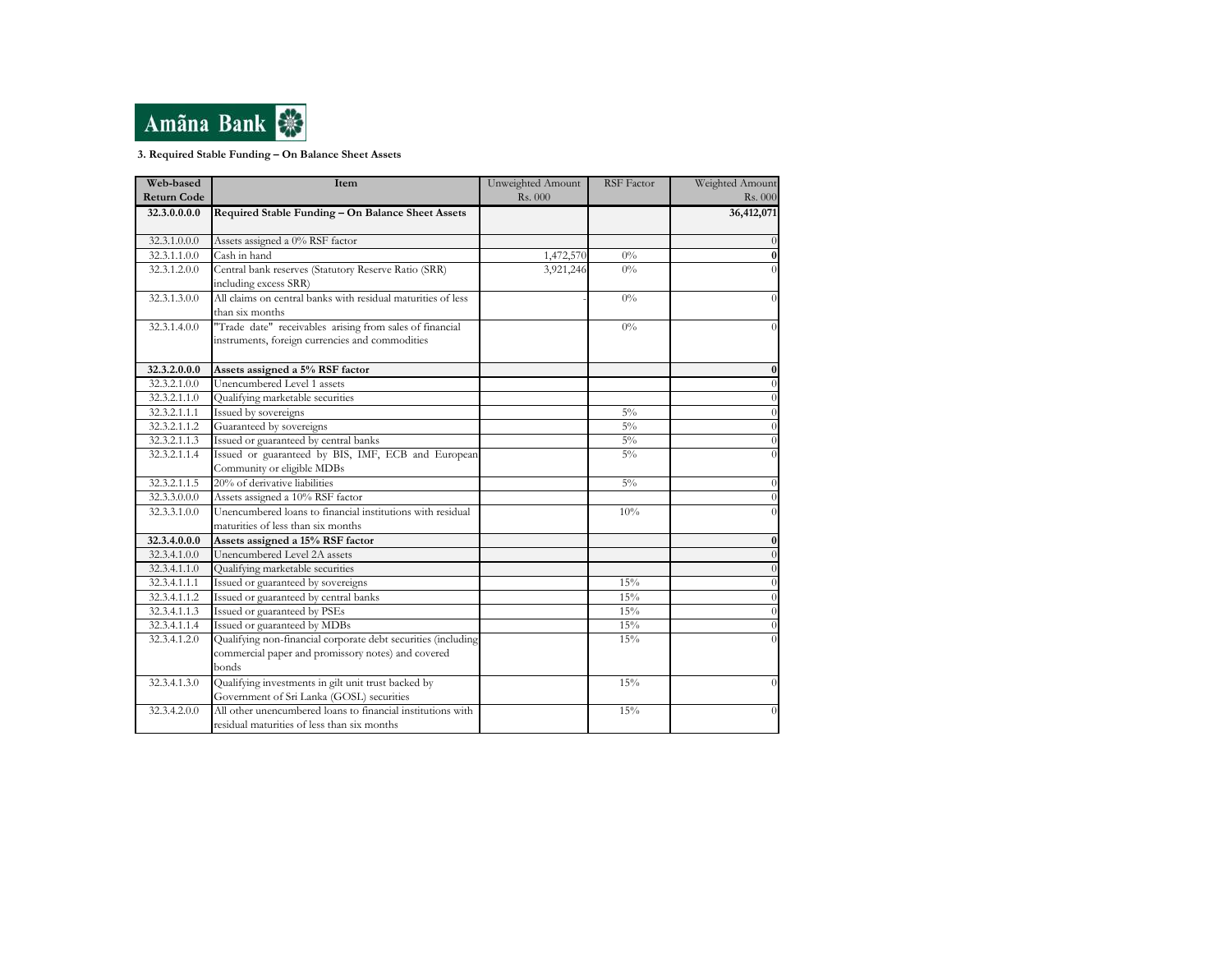

#### 3. Required Stable Funding – On Balance Sheet Assets

| Web-based          | Item                                                          | Unweighted Amount | <b>RSF</b> Factor | Weighted Amount |
|--------------------|---------------------------------------------------------------|-------------------|-------------------|-----------------|
| <b>Return Code</b> |                                                               | Rs. 000           |                   | Rs. 000         |
| 32.3.0.0.0.0       | Required Stable Funding - On Balance Sheet Assets             |                   |                   | 36,412,071      |
|                    |                                                               |                   |                   |                 |
| 32.3.1.0.0.0       | Assets assigned a 0% RSF factor                               |                   |                   |                 |
| 32.3.1.1.0.0       | Cash in hand                                                  | 1,472,570         | $0\%$             | $\bf{0}$        |
| 32.3.1.2.0.0       | Central bank reserves (Statutory Reserve Ratio (SRR)          | 3,921,246         | $0\%$             |                 |
|                    | including excess SRR)                                         |                   |                   |                 |
| 32.3.1.3.0.0       | All claims on central banks with residual maturities of less  |                   | $0\%$             |                 |
|                    | than six months                                               |                   |                   |                 |
| 32.3.1.4.0.0       | "Trade date" receivables arising from sales of financial      |                   | $0\%$             | 0               |
|                    | instruments, foreign currencies and commodities               |                   |                   |                 |
|                    |                                                               |                   |                   |                 |
| 32.3.2.0.0.0       | Assets assigned a 5% RSF factor                               |                   |                   | 0               |
| 32.3.2.1.0.0       | Unencumbered Level 1 assets                                   |                   |                   |                 |
| 32.3.2.1.1.0       | Qualifying marketable securities                              |                   |                   |                 |
| 32.3.2.1.1.1       | Issued by sovereigns                                          |                   | $5\%$             | $\theta$        |
| 32.3.2.1.1.2       | Guaranteed by sovereigns                                      |                   | $5\%$             | $\Omega$        |
| 32.3.2.1.1.3       | Issued or guaranteed by central banks                         |                   | $5\%$             | $\Omega$        |
| 32.3.2.1.1.4       | Issued or guaranteed by BIS, IMF, ECB and European            |                   | $5\%$             |                 |
|                    | Community or eligible MDBs                                    |                   |                   |                 |
| 32.3.2.1.1.5       | 20% of derivative liabilities                                 |                   | $5\%$             | $\Omega$        |
| 32.3.3.0.0.0       | Assets assigned a 10% RSF factor                              |                   |                   |                 |
| 32.3.3.1.0.0       | Unencumbered loans to financial institutions with residual    |                   | 10%               |                 |
|                    | maturities of less than six months                            |                   |                   |                 |
| 32.3.4.0.0.0       | Assets assigned a 15% RSF factor                              |                   |                   | $\bf{0}$        |
| 32.3.4.1.0.0       | Unencumbered Level 2A assets                                  |                   |                   |                 |
| 32.3.4.1.1.0       | Qualifying marketable securities                              |                   |                   |                 |
| 32.3.4.1.1.1       | Issued or guaranteed by sovereigns                            |                   | 15%               |                 |
| 32.3.4.1.1.2       | Issued or guaranteed by central banks                         |                   | 15%               | $\theta$        |
| 32.3.4.1.1.3       | Issued or guaranteed by PSEs                                  |                   | 15%               | $\Omega$        |
| 32.3.4.1.1.4       | Issued or guaranteed by MDBs                                  |                   | 15%               | $\Omega$        |
| 32.3.4.1.2.0       | Qualifying non-financial corporate debt securities (including |                   | 15%               |                 |
|                    | commercial paper and promissory notes) and covered            |                   |                   |                 |
|                    | bonds                                                         |                   |                   |                 |
| 32.3.4.1.3.0       | Qualifying investments in gilt unit trust backed by           |                   | 15%               | $\Omega$        |
|                    | Government of Sri Lanka (GOSL) securities                     |                   |                   |                 |
| 32.3.4.2.0.0       | All other unencumbered loans to financial institutions with   |                   | 15%               | $\Omega$        |
|                    | residual maturities of less than six months                   |                   |                   |                 |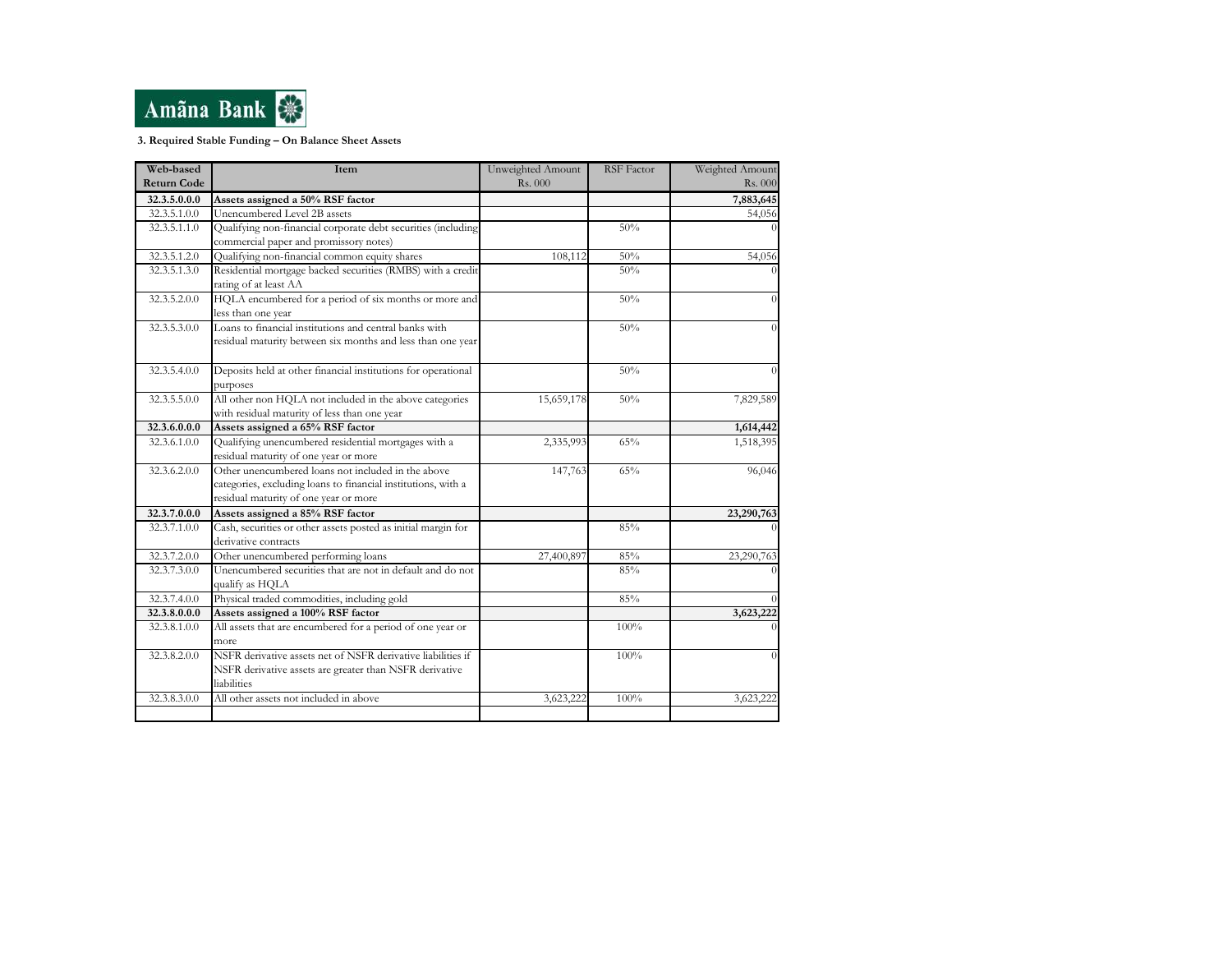

3. Required Stable Funding – On Balance Sheet Assets

| Web-based          | Item                                                                                                                                                         | Unweighted Amount | <b>RSF</b> Factor | Weighted Amount |
|--------------------|--------------------------------------------------------------------------------------------------------------------------------------------------------------|-------------------|-------------------|-----------------|
| <b>Return Code</b> |                                                                                                                                                              | Rs. 000           |                   | Rs. 000         |
| 32.3.5.0.0.0       | Assets assigned a 50% RSF factor                                                                                                                             |                   |                   | 7,883,645       |
| 32.3.5.1.0.0       | Unencumbered Level 2B assets                                                                                                                                 |                   |                   | 54,056          |
| 32.3.5.1.1.0       | Qualifying non-financial corporate debt securities (including                                                                                                |                   | 50%               |                 |
|                    | commercial paper and promissory notes)                                                                                                                       |                   |                   |                 |
| 32.3.5.1.2.0       | Qualifying non-financial common equity shares                                                                                                                | 108,112           | 50%               | 54,056          |
| 32.3.5.1.3.0       | Residential mortgage backed securities (RMBS) with a credit<br>rating of at least AA                                                                         |                   | 50%               |                 |
| 32.3.5.2.0.0       | HQLA encumbered for a period of six months or more and<br>less than one year                                                                                 |                   | 50%               |                 |
| 32.3.5.3.0.0       | Loans to financial institutions and central banks with<br>residual maturity between six months and less than one year                                        |                   | 50%               | 0               |
| 32.3.5.4.0.0       | Deposits held at other financial institutions for operational<br>purposes                                                                                    |                   | 50%               |                 |
| 32.3.5.5.0.0       | All other non HQLA not included in the above categories<br>with residual maturity of less than one year                                                      | 15,659,178        | 50%               | 7,829,589       |
| 32.3.6.0.0.0       | Assets assigned a 65% RSF factor                                                                                                                             |                   |                   | 1,614,442       |
| 32.3.6.1.0.0       | Qualifying unencumbered residential mortgages with a<br>residual maturity of one year or more                                                                | 2,335,993         | 65%               | 1,518,395       |
| 32.3.6.2.0.0       | Other unencumbered loans not included in the above<br>categories, excluding loans to financial institutions, with a<br>residual maturity of one year or more | 147,763           | 65%               | 96,046          |
| 32.3.7.0.0.0       | Assets assigned a 85% RSF factor                                                                                                                             |                   |                   | 23,290,763      |
| 32.3.7.1.0.0       | Cash, securities or other assets posted as initial margin for<br>derivative contracts                                                                        |                   | 85%               |                 |
| 32.3.7.2.0.0       | Other unencumbered performing loans                                                                                                                          | 27,400,897        | 85%               | 23,290,763      |
| 32.3.7.3.0.0       | Unencumbered securities that are not in default and do not<br>qualify as HQLA                                                                                |                   | 85%               |                 |
| 32.3.7.4.0.0       | Physical traded commodities, including gold                                                                                                                  |                   | 85%               |                 |
| 32.3.8.0.0.0       | Assets assigned a 100% RSF factor                                                                                                                            |                   |                   | 3,623,222       |
| 32.3.8.1.0.0       | All assets that are encumbered for a period of one year or<br>more                                                                                           |                   | 100%              |                 |
| 32.3.8.2.0.0       | NSFR derivative assets net of NSFR derivative liabilities if<br>NSFR derivative assets are greater than NSFR derivative<br>liabilities                       |                   | 100%              |                 |
| 32.3.8.3.0.0       | All other assets not included in above                                                                                                                       | 3,623,222         | 100%              | 3,623,222       |
|                    |                                                                                                                                                              |                   |                   |                 |